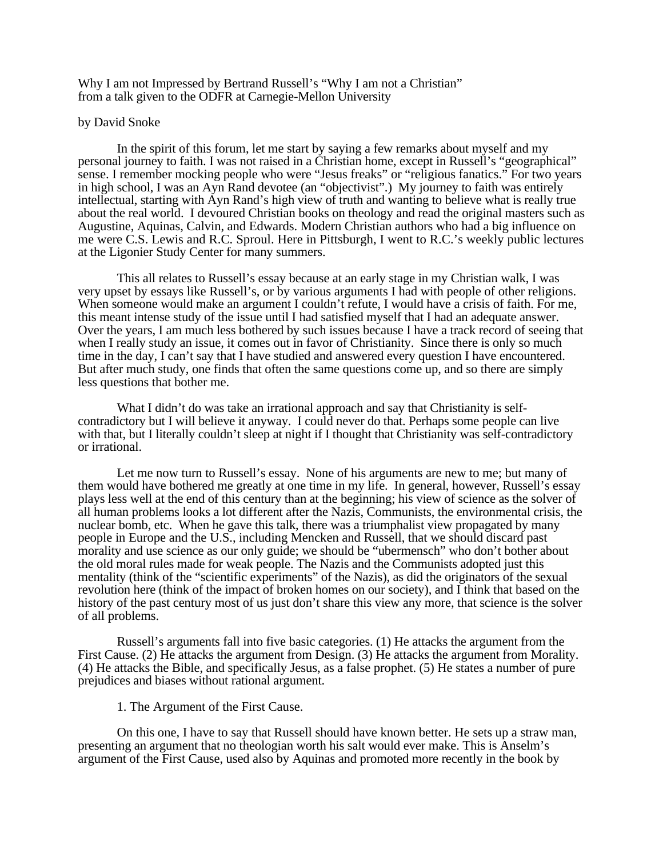Why I am not Impressed by Bertrand Russell's "Why I am not a Christian" from a talk given to the ODFR at Carnegie-Mellon University

### by David Snoke

In the spirit of this forum, let me start by saying a few remarks about myself and my personal journey to faith. I was not raised in a Christian home, except in Russell's "geographical" sense. I remember mocking people who were "Jesus freaks" or "religious fanatics." For two years in high school, I was an Ayn Rand devotee (an "objectivist".) My journey to faith was entirely intellectual, starting with Ayn Rand's high view of truth and wanting to believe what is really true about the real world. I devoured Christian books on theology and read the original masters such as Augustine, Aquinas, Calvin, and Edwards. Modern Christian authors who had a big influence on me were C.S. Lewis and R.C. Sproul. Here in Pittsburgh, I went to R.C.'s weekly public lectures at the Ligonier Study Center for many summers.

This all relates to Russell's essay because at an early stage in my Christian walk, I was very upset by essays like Russell's, or by various arguments I had with people of other religions. When someone would make an argument I couldn't refute, I would have a crisis of faith. For me, this meant intense study of the issue until I had satisfied myself that I had an adequate answer. Over the years, I am much less bothered by such issues because I have a track record of seeing that when I really study an issue, it comes out in favor of Christianity. Since there is only so much time in the day, I can't say that I have studied and answered every question I have encountered. But after much study, one finds that often the same questions come up, and so there are simply less questions that bother me.

What I didn't do was take an irrational approach and say that Christianity is selfcontradictory but I will believe it anyway. I could never do that. Perhaps some people can live with that, but I literally couldn't sleep at night if I thought that Christianity was self-contradictory or irrational.

Let me now turn to Russell's essay. None of his arguments are new to me; but many of them would have bothered me greatly at one time in my life. In general, however, Russell's essay plays less well at the end of this century than at the beginning; his view of science as the solver of all human problems looks a lot different after the Nazis, Communists, the environmental crisis, the nuclear bomb, etc. When he gave this talk, there was a triumphalist view propagated by many people in Europe and the U.S., including Mencken and Russell, that we should discard past morality and use science as our only guide; we should be "ubermensch" who don't bother about the old moral rules made for weak people. The Nazis and the Communists adopted just this mentality (think of the "scientific experiments" of the Nazis), as did the originators of the sexual revolution here (think of the impact of broken homes on our society), and I think that based on the history of the past century most of us just don't share this view any more, that science is the solver of all problems.

Russell's arguments fall into five basic categories. (1) He attacks the argument from the First Cause. (2) He attacks the argument from Design. (3) He attacks the argument from Morality. (4) He attacks the Bible, and specifically Jesus, as a false prophet. (5) He states a number of pure prejudices and biases without rational argument.

#### 1. The Argument of the First Cause.

On this one, I have to say that Russell should have known better. He sets up a straw man, presenting an argument that no theologian worth his salt would ever make. This is Anselm's argument of the First Cause, used also by Aquinas and promoted more recently in the book by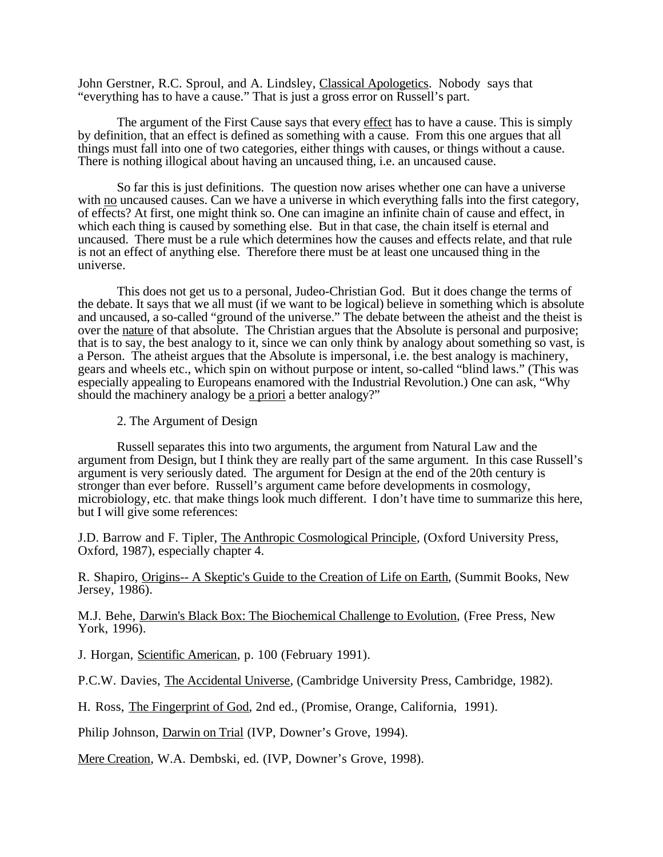John Gerstner, R.C. Sproul, and A. Lindsley, Classical Apologetics. Nobody says that "everything has to have a cause." That is just a gross error on Russell's part.

The argument of the First Cause says that every effect has to have a cause. This is simply by definition, that an effect is defined as something with a cause. From this one argues that all things must fall into one of two categories, either things with causes, or things without a cause. There is nothing illogical about having an uncaused thing, i.e. an uncaused cause.

So far this is just definitions. The question now arises whether one can have a universe with no uncaused causes. Can we have a universe in which everything falls into the first category, of effects? At first, one might think so. One can imagine an infinite chain of cause and effect, in which each thing is caused by something else. But in that case, the chain itself is eternal and uncaused. There must be a rule which determines how the causes and effects relate, and that rule is not an effect of anything else. Therefore there must be at least one uncaused thing in the universe.

This does not get us to a personal, Judeo-Christian God. But it does change the terms of the debate. It says that we all must (if we want to be logical) believe in something which is absolute and uncaused, a so-called "ground of the universe." The debate between the atheist and the theist is over the nature of that absolute. The Christian argues that the Absolute is personal and purposive; that is to say, the best analogy to it, since we can only think by analogy about something so vast, is a Person. The atheist argues that the Absolute is impersonal, i.e. the best analogy is machinery, gears and wheels etc., which spin on without purpose or intent, so-called "blind laws." (This was especially appealing to Europeans enamored with the Industrial Revolution.) One can ask, "Why should the machinery analogy be a priori a better analogy?"

2. The Argument of Design

Russell separates this into two arguments, the argument from Natural Law and the argument from Design, but I think they are really part of the same argument. In this case Russell's argument is very seriously dated. The argument for Design at the end of the 20th century is stronger than ever before. Russell's argument came before developments in cosmology, microbiology, etc. that make things look much different. I don't have time to summarize this here, but I will give some references:

J.D. Barrow and F. Tipler, The Anthropic Cosmological Principle , (Oxford University Press, Oxford, 1987), especially chapter 4.

R. Shapiro, Origins-- A Skeptic's Guide to the Creation of Life on Earth, (Summit Books, New Jersey, 1986).

M.J. Behe, Darwin's Black Box: The Biochemical Challenge to Evolution , (Free Press, New York, 1996).

J. Horgan, Scientific American, p. 100 (February 1991).

P.C.W. Davies, The Accidental Universe, (Cambridge University Press, Cambridge, 1982).

H. Ross, The Fingerprint of God, 2nd ed., (Promise, Orange, California, 1991).

Philip Johnson, Darwin on Trial (IVP, Downer's Grove, 1994).

Mere Creation, W.A. Dembski, ed. (IVP, Downer's Grove, 1998).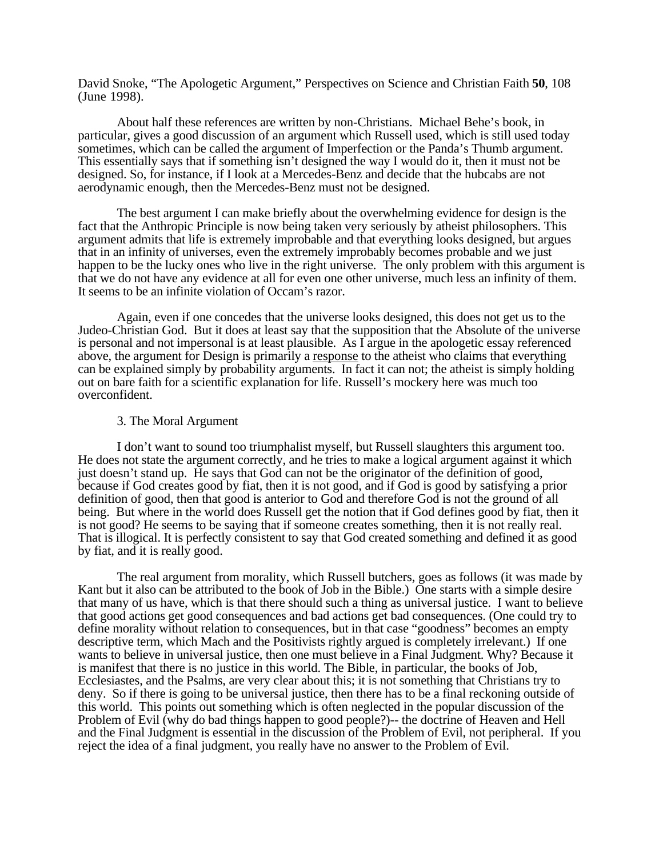David Snoke, "The Apologetic Argument," Perspectives on Science and Christian Faith **50**, 108 (June 1998).

About half these references are written by non-Christians. Michael Behe's book, in particular, gives a good discussion of an argument which Russell used, which is still used today sometimes, which can be called the argument of Imperfection or the Panda's Thumb argument. This essentially says that if something isn't designed the way I would do it, then it must not be designed. So, for instance, if I look at a Mercedes-Benz and decide that the hubcabs are not aerodynamic enough, then the Mercedes-Benz must not be designed.

The best argument I can make briefly about the overwhelming evidence for design is the fact that the Anthropic Principle is now being taken very seriously by atheist philosophers. This argument admits that life is extremely improbable and that everything looks designed, but argues that in an infinity of universes, even the extremely improbably becomes probable and we just happen to be the lucky ones who live in the right universe. The only problem with this argument is that we do not have any evidence at all for even one other universe, much less an infinity of them. It seems to be an infinite violation of Occam's razor.

Again, even if one concedes that the universe looks designed, this does not get us to the Judeo-Christian God. But it does at least say that the supposition that the Absolute of the universe is personal and not impersonal is at least plausible. As I argue in the apologetic essay referenced above, the argument for Design is primarily a response to the atheist who claims that everything can be explained simply by probability arguments. In fact it can not; the atheist is simply holding out on bare faith for a scientific explanation for life. Russell's mockery here was much too overconfident.

## 3. The Moral Argument

I don't want to sound too triumphalist myself, but Russell slaughters this argument too. He does not state the argument correctly, and he tries to make a logical argument against it which just doesn't stand up. He says that God can not be the originator of the definition of good, because if God creates good by fiat, then it is not good, and if God is good by satisfying a prior definition of good, then that good is anterior to God and therefore God is not the ground of all being. But where in the world does Russell get the notion that if God defines good by fiat, then it is not good? He seems to be saying that if someone creates something, then it is not really real. That is illogical. It is perfectly consistent to say that God created something and defined it as good by fiat, and it is really good.

The real argument from morality, which Russell butchers, goes as follows (it was made by Kant but it also can be attributed to the book of Job in the Bible.) One starts with a simple desire that many of us have, which is that there should such a thing as universal justice. I want to believe that good actions get good consequences and bad actions get bad consequences. (One could try to define morality without relation to consequences, but in that case "goodness" becomes an empty descriptive term, which Mach and the Positivists rightly argued is completely irrelevant.) If one wants to believe in universal justice, then one must believe in a Final Judgment. Why? Because it is manifest that there is no justice in this world. The Bible, in particular, the books of Job, Ecclesiastes, and the Psalms, are very clear about this; it is not something that Christians try to deny. So if there is going to be universal justice, then there has to be a final reckoning outside of this world. This points out something which is often neglected in the popular discussion of the Problem of Evil (why do bad things happen to good people?)-- the doctrine of Heaven and Hell and the Final Judgment is essential in the discussion of the Problem of Evil, not peripheral. If you reject the idea of a final judgment, you really have no answer to the Problem of Evil.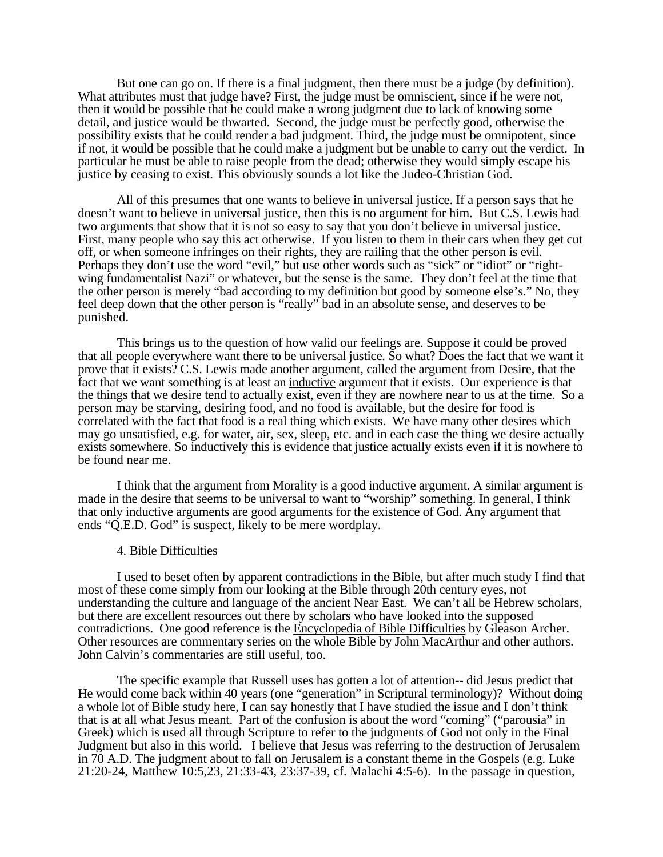But one can go on. If there is a final judgment, then there must be a judge (by definition). What attributes must that judge have? First, the judge must be omniscient, since if he were not, then it would be possible that he could make a wrong judgment due to lack of knowing some detail, and justice would be thwarted. Second, the judge must be perfectly good, otherwise the possibility exists that he could render a bad judgment. Third, the judge must be omnipotent, since if not, it would be possible that he could make a judgment but be unable to carry out the verdict. In particular he must be able to raise people from the dead; otherwise they would simply escape his justice by ceasing to exist. This obviously sounds a lot like the Judeo-Christian God.

All of this presumes that one wants to believe in universal justice. If a person says that he doesn't want to believe in universal justice, then this is no argument for him. But C.S. Lewis had two arguments that show that it is not so easy to say that you don't believe in universal justice. First, many people who say this act otherwise. If you listen to them in their cars when they get cut off, or when someone infringes on their rights, they are railing that the other person is evil . Perhaps they don't use the word "evil," but use other words such as "sick" or "idiot" or "rightwing fundamentalist Nazi" or whatever, but the sense is the same. They don't feel at the time that the other person is merely "bad according to my definition but good by someone else's." No, they feel deep down that the other person is "really" bad in an absolute sense, and deserves to be punished.

This brings us to the question of how valid our feelings are. Suppose it could be proved that all people everywhere want there to be universal justice. So what? Does the fact that we want it prove that it exists? C.S. Lewis made another argument, called the argument from Desire, that the fact that we want something is at least an inductive argument that it exists. Our experience is that the things that we desire tend to actually exist, even if they are nowhere near to us at the time. So a person may be starving, desiring food, and no food is available, but the desire for food is correlated with the fact that food is a real thing which exists. We have many other desires which may go unsatisfied, e.g. for water, air, sex, sleep, etc. and in each case the thing we desire actually exists somewhere. So inductively this is evidence that justice actually exists even if it is nowhere to be found near me.

I think that the argument from Morality is a good inductive argument. A similar argument is made in the desire that seems to be universal to want to "worship" something. In general, I think that only inductive arguments are good arguments for the existence of God. Any argument that ends "Q.E.D. God" is suspect, likely to be mere wordplay.

#### 4. Bible Difficulties

I used to beset often by apparent contradictions in the Bible, but after much study I find that most of these come simply from our looking at the Bible through 20th century eyes, not understanding the culture and language of the ancient Near East. We can't all be Hebrew scholars, but there are excellent resources out there by scholars who have looked into the supposed contradictions. One good reference is the Encyclopedia of Bible Difficulties by Gleason Archer. Other resources are commentary series on the whole Bible by John MacArthur and other authors. John Calvin's commentaries are still useful, too.

The specific example that Russell uses has gotten a lot of attention-- did Jesus predict that He would come back within 40 years (one "generation" in Scriptural terminology)? Without doing a whole lot of Bible study here, I can say honestly that I have studied the issue and I don't think that is at all what Jesus meant. Part of the confusion is about the word "coming" ("parousia" in Greek) which is used all through Scripture to refer to the judgments of God not only in the Final Judgment but also in this world. I believe that Jesus was referring to the destruction of Jerusalem in 70 A.D. The judgment about to fall on Jerusalem is a constant theme in the Gospels (e.g. Luke 21:20-24, Matthew 10:5,23, 21:33-43, 23:37-39, cf. Malachi 4:5-6). In the passage in question,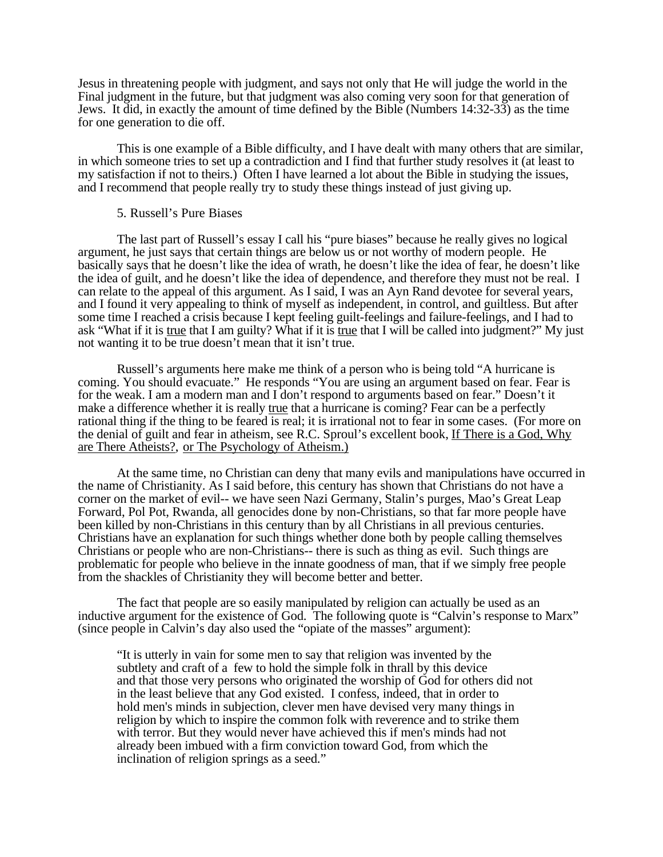Jesus in threatening people with judgment, and says not only that He will judge the world in the Final judgment in the future, but that judgment was also coming very soon for that generation of Jews. It did, in exactly the amount of time defined by the Bible (Numbers 14:32-33) as the time for one generation to die off.

This is one example of a Bible difficulty, and I have dealt with many others that are similar, in which someone tries to set up a contradiction and I find that further study resolves it (at least to my satisfaction if not to theirs.) Often I have learned a lot about the Bible in studying the issues, and I recommend that people really try to study these things instead of just giving up.

# 5. Russell's Pure Biases

The last part of Russell's essay I call his "pure biases" because he really gives no logical argument, he just says that certain things are below us or not worthy of modern people. He basically says that he doesn't like the idea of wrath, he doesn't like the idea of fear, he doesn't like the idea of guilt, and he doesn't like the idea of dependence, and therefore they must not be real. I can relate to the appeal of this argument. As I said, I was an Ayn Rand devotee for several years, and I found it very appealing to think of myself as independent, in control, and guiltless. But after some time I reached a crisis because I kept feeling guilt-feelings and failure-feelings, and I had to ask "What if it is <u>true</u> that I am guilty? What if it is <u>true</u> that I will be called into judgment?" My just not wanting it to be true doesn't mean that it isn't true.

Russell's arguments here make me think of a person who is being told "A hurricane is coming. You should evacuate." He responds "You are using an argument based on fear. Fear is for the weak. I am a modern man and I don't respond to arguments based on fear." Doesn't it make a difference whether it is really true that a hurricane is coming? Fear can be a perfectly rational thing if the thing to be feared is real; it is irrational not to fear in some cases. (For more on the denial of guilt and fear in atheism, see R.C. Sproul's excellent book, If There is a God, Why are There Atheists? , or The Psychology of Atheism.)

At the same time, no Christian can deny that many evils and manipulations have occurred in the name of Christianity. As I said before, this century has shown that Christians do not have a corner on the market of evil-- we have seen Nazi Germany, Stalin's purges, Mao's Great Leap Forward, Pol Pot, Rwanda, all genocides done by non-Christians, so that far more people have been killed by non-Christians in this century than by all Christians in all previous centuries. Christians have an explanation for such things whether done both by people calling themselves Christians or people who are non-Christians-- there is such as thing as evil. Such things are problematic for people who believe in the innate goodness of man, that if we simply free people from the shackles of Christianity they will become better and better.

The fact that people are so easily manipulated by religion can actually be used as an inductive argument for the existence of God. The following quote is "Calvin's response to Marx" (since people in Calvin's day also used the "opiate of the masses" argument):

"It is utterly in vain for some men to say that religion was invented by the subtlety and craft of a few to hold the simple folk in thrall by this device and that those very persons who originated the worship of God for others did not in the least believe that any God existed. I confess, indeed, that in order to hold men's minds in subjection, clever men have devised very many things in religion by which to inspire the common folk with reverence and to strike them with terror. But they would never have achieved this if men's minds had not already been imbued with a firm conviction toward God, from which the inclination of religion springs as a seed."